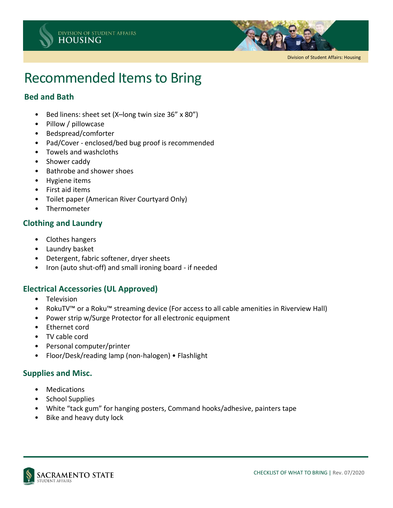



Division of Student Affairs: Housing

# Recommended Items to Bring

## **Bed and Bath**

- Bed linens: sheet set (X–long twin size 36" x 80")
- Pillow / pillowcase
- Bedspread/comforter
- Pad/Cover enclosed/bed bug proof is recommended
- Towels and washcloths
- Shower caddy
- Bathrobe and shower shoes
- Hygiene items
- First aid items
- Toilet paper (American River Courtyard Only)
- Thermometer

## **Clothing and Laundry**

- Clothes hangers
- Laundry basket
- Detergent, fabric softener, dryer sheets
- Iron (auto shut-off) and small ironing board if needed

## **Electrical Accessories (UL Approved)**

- Television
- RokuTV™ or a Roku™ streaming device (For access to all cable amenities in Riverview Hall)
- Power strip w/Surge Protector for all electronic equipment
- Ethernet cord
- TV cable cord
- Personal computer/printer
- Floor/Desk/reading lamp (non-halogen) Flashlight

#### **Supplies and Misc.**

- Medications
- School Supplies
- White "tack gum" for hanging posters, Command hooks/adhesive, painters tape
- Bike and heavy duty lock